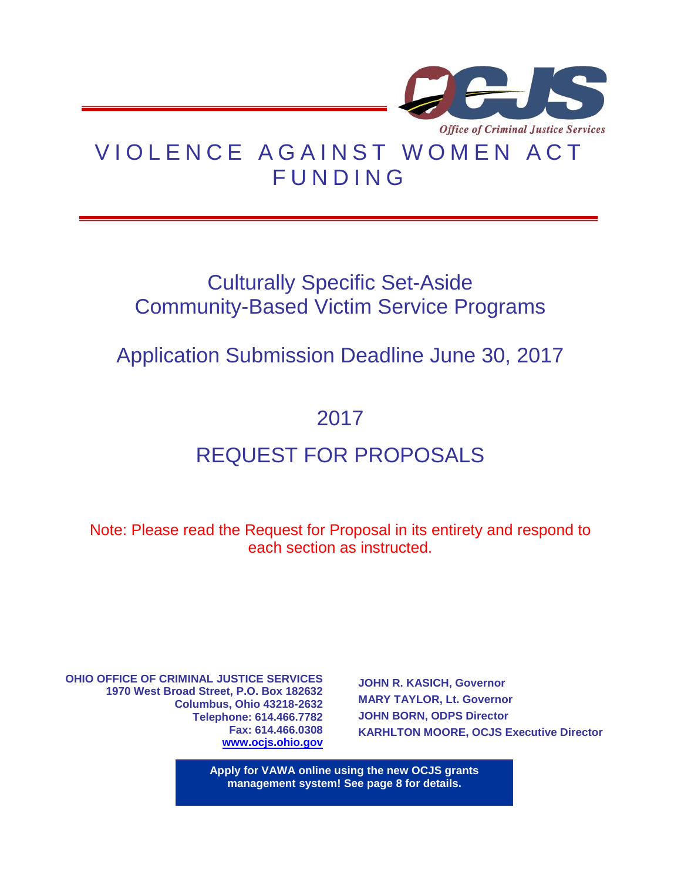

# VIOLENCE AGAINST WOMEN ACT **FUNDING**

## Culturally Specific Set-Aside Community-Based Victim Service Programs

## Application Submission Deadline June 30, 2017

## 2017

# REQUEST FOR PROPOSALS

Note: Please read the Request for Proposal in its entirety and respond to each section as instructed.

**OHIO OFFICE OF CRIMINAL JUSTICE SERVICES 1970 West Broad Street, P.O. Box 182632 Columbus, Ohio 43218-2632 Telephone: 614.466.7782 Fax: 614.466.0308 [www.ocjs.ohio.gov](http://www.publicsafety.ohio.gov/odps_ocjs)**

**1970 West Broad Street, P.O. Box 182632**

**JOHN R. KASICH, Governor MARY TAYLOR, Lt. Governor JOHN BORN, ODPS Director KARHLTON MOORE, OCJS Executive Director**

**CHIO OFFICE OF CRIMINAL SERVICES CRIMINAL SERVICES CRIMINAL SERVICES Apply for VAWA online using the new OCJS grants**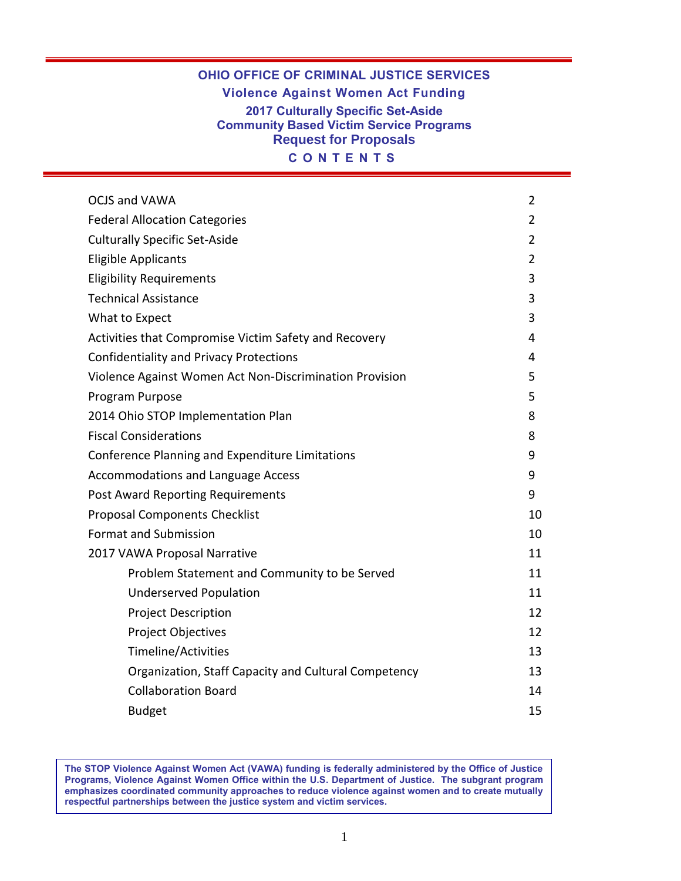### **OHIO OFFICE OF CRIMINAL JUSTICE SERVICES Violence Against Women Act Funding 2017 Culturally Specific Set-Aside Community Based Victim Service Programs Request for Proposals C O N T E N T S**

| <b>OCJS and VAWA</b>                                    | 2              |
|---------------------------------------------------------|----------------|
| <b>Federal Allocation Categories</b>                    | 2              |
| <b>Culturally Specific Set-Aside</b>                    | 2              |
| <b>Eligible Applicants</b>                              | $\overline{2}$ |
| <b>Eligibility Requirements</b>                         | 3              |
| <b>Technical Assistance</b>                             | 3              |
| What to Expect                                          | 3              |
| Activities that Compromise Victim Safety and Recovery   | 4              |
| <b>Confidentiality and Privacy Protections</b>          | 4              |
| Violence Against Women Act Non-Discrimination Provision | 5              |
| Program Purpose                                         | 5              |
| 2014 Ohio STOP Implementation Plan                      | 8              |
| <b>Fiscal Considerations</b>                            | 8              |
| Conference Planning and Expenditure Limitations         | 9              |
| <b>Accommodations and Language Access</b>               | 9              |
| <b>Post Award Reporting Requirements</b>                | 9              |
| <b>Proposal Components Checklist</b>                    | 10             |
| <b>Format and Submission</b>                            | 10             |
| 2017 VAWA Proposal Narrative                            | 11             |
| Problem Statement and Community to be Served            | 11             |
| <b>Underserved Population</b>                           | 11             |
| <b>Project Description</b>                              | 12             |
| Project Objectives                                      | 12             |
| Timeline/Activities                                     | 13             |
| Organization, Staff Capacity and Cultural Competency    | 13             |
| <b>Collaboration Board</b>                              | 14             |
| <b>Budget</b>                                           | 15             |

**The STOP Violence Against Women Act (VAWA) funding is federally administered by the Office of Justice Programs, Violence Against Women Office within the U.S. Department of Justice. The subgrant program emphasizes coordinated community approaches to reduce violence against women and to create mutually respectful partnerships between the justice system and victim services.**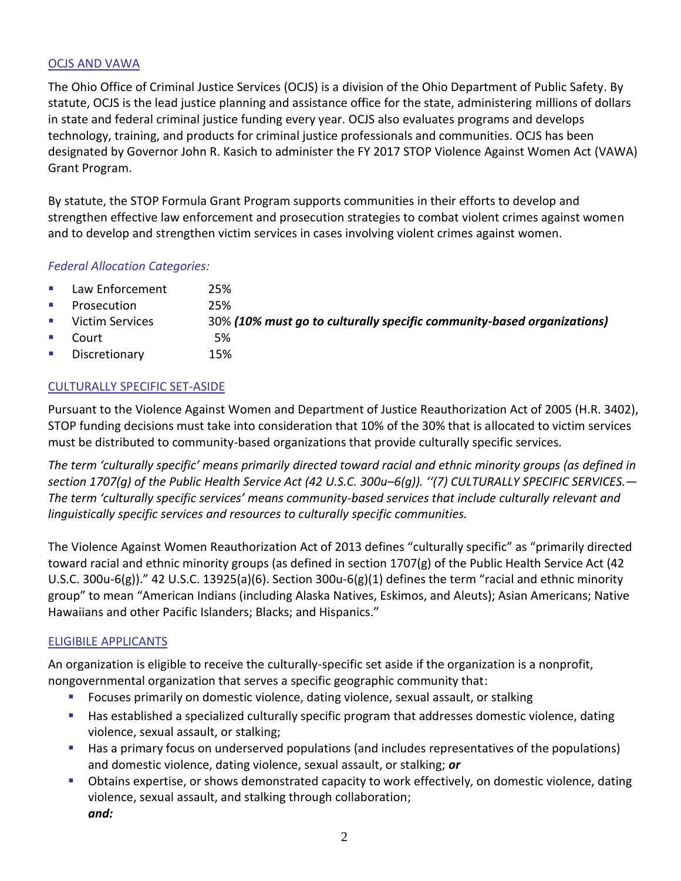## OCJS AND VAWA

The Ohio Office of Criminal Justice Services (OCJS) is a division of the Ohio Department of Public Safety. By statute, OCJS is the lead justice planning and assistance office for the state, administering millions of dollars in state and federal criminal justice funding every year. OCJS also evaluates programs and develops technology, training, and products for criminal justice professionals and communities. OCJS has been designated by Governor John R. Kasich to administer the FY 2017 STOP Violence Against Women Act (VAWA) Grant Program.

By statute, the STOP Formula Grant Program supports communities in their efforts to develop and strengthen effective law enforcement and prosecution strategies to combat violent crimes against women and to develop and strengthen victim services in cases involving violent crimes against women.

#### *Federal Allocation Categories:*

- **Law Enforcement** 25%
- **Prosecution** 25%
- Victim Services 30% *(10% must go to culturally specific community-based organizations)*
- Court 5%
- **Discretionary** 15%

### CULTURALLY SPECIFIC SET-ASIDE

Pursuant to the Violence Against Women and Department of Justice Reauthorization Act of 2005 (H.R. 3402), STOP funding decisions must take into consideration that 10% of the 30% that is allocated to victim services must be distributed to community-based organizations that provide culturally specific services.

*The term 'culturally specific' means primarily directed toward racial and ethnic minority groups (as defined in section 1707(g) of the Public Health Service Act (42 U.S.C. 300u–6(g)). ''(7) CULTURALLY SPECIFIC SERVICES.— The term 'culturally specific services' means community-based services that include culturally relevant and linguistically specific services and resources to culturally specific communities.*

The Violence Against Women Reauthorization Act of 2013 defines "culturally specific" as "primarily directed toward racial and ethnic minority groups (as defined in section 1707(g) of the Public Health Service Act (42 U.S.C. 300u-6(g))." 42 U.S.C. 13925(a)(6). Section 300u-6(g)(1) defines the term "racial and ethnic minority group" to mean "American Indians (including Alaska Natives, Eskimos, and Aleuts); Asian Americans; Native Hawaiians and other Pacific Islanders; Blacks; and Hispanics."

## ELIGIBILE APPLICANTS

An organization is eligible to receive the culturally-specific set aside if the organization is a nonprofit, nongovernmental organization that serves a specific geographic community that:

- **FIM** Focuses primarily on domestic violence, dating violence, sexual assault, or stalking
- **Has established a specialized culturally specific program that addresses domestic violence, dating** violence, sexual assault, or stalking;
- Has a primary focus on underserved populations (and includes representatives of the populations) and domestic violence, dating violence, sexual assault, or stalking; *or*
- Obtains expertise, or shows demonstrated capacity to work effectively, on domestic violence, dating violence, sexual assault, and stalking through collaboration; *and:*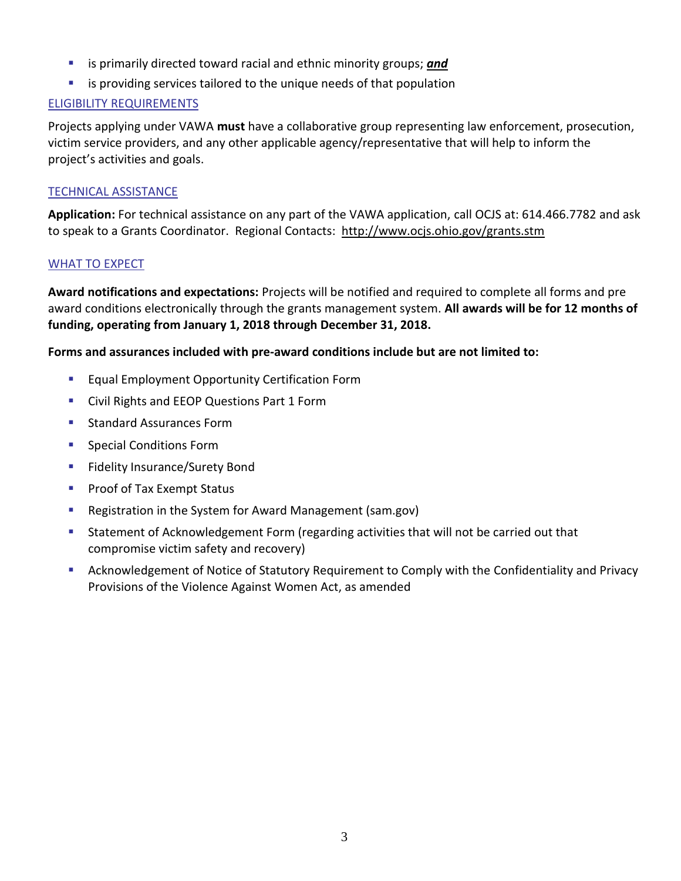- is primarily directed toward racial and ethnic minority groups; *and*
- **E** is providing services tailored to the unique needs of that population

### ELIGIBILITY REQUIREMENTS

Projects applying under VAWA **must** have a collaborative group representing law enforcement, prosecution, victim service providers, and any other applicable agency/representative that will help to inform the project's activities and goals.

#### TECHNICAL ASSISTANCE

**Application:** For technical assistance on any part of the VAWA application, call OCJS at: 614.466.7782 and ask to speak to a Grants Coordinator. Regional Contacts: <http://www.ocjs.ohio.gov/grants.stm>

#### WHAT TO EXPECT

**Award notifications and expectations:** Projects will be notified and required to complete all forms and pre award conditions electronically through the grants management system. **All awards will be for 12 months of funding, operating from January 1, 2018 through December 31, 2018.**

#### **Forms and assurances included with pre-award conditions include but are not limited to:**

- **Equal Employment Opportunity Certification Form**
- **Civil Rights and EEOP Questions Part 1 Form**
- **Standard Assurances Form**
- **Special Conditions Form**
- **Fidelity Insurance/Surety Bond**
- **Proof of Tax Exempt Status**
- Registration in the System for Award Management (sam.gov)
- Statement of Acknowledgement Form (regarding activities that will not be carried out that compromise victim safety and recovery)
- Acknowledgement of Notice of Statutory Requirement to Comply with the Confidentiality and Privacy Provisions of the Violence Against Women Act, as amended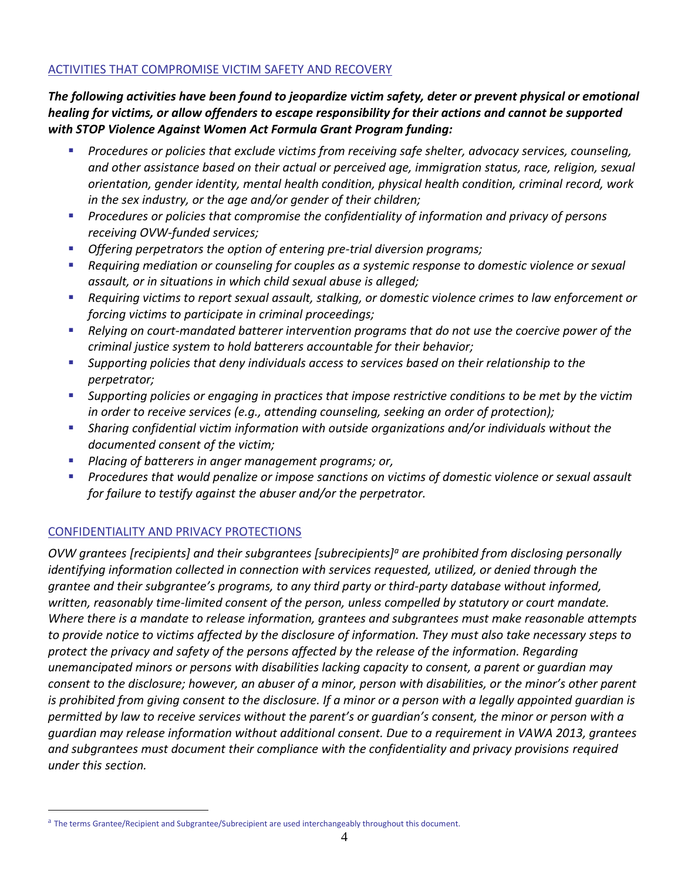#### ACTIVITIES THAT COMPROMISE VICTIM SAFETY AND RECOVERY

*The following activities have been found to jeopardize victim safety, deter or prevent physical or emotional healing for victims, or allow offenders to escape responsibility for their actions and cannot be supported with STOP Violence Against Women Act Formula Grant Program funding:* 

- *Procedures or policies that exclude victims from receiving safe shelter, advocacy services, counseling, and other assistance based on their actual or perceived age, immigration status, race, religion, sexual orientation, gender identity, mental health condition, physical health condition, criminal record, work in the sex industry, or the age and/or gender of their children;*
- *Procedures or policies that compromise the confidentiality of information and privacy of persons receiving OVW-funded services;*
- *Offering perpetrators the option of entering pre-trial diversion programs;*
- *Requiring mediation or counseling for couples as a systemic response to domestic violence or sexual assault, or in situations in which child sexual abuse is alleged;*
- *Requiring victims to report sexual assault, stalking, or domestic violence crimes to law enforcement or forcing victims to participate in criminal proceedings;*
- *Relying on court-mandated batterer intervention programs that do not use the coercive power of the criminal justice system to hold batterers accountable for their behavior;*
- *Supporting policies that deny individuals access to services based on their relationship to the perpetrator;*
- *Supporting policies or engaging in practices that impose restrictive conditions to be met by the victim in order to receive services (e.g., attending counseling, seeking an order of protection);*
- *Sharing confidential victim information with outside organizations and/or individuals without the documented consent of the victim;*
- *Placing of batterers in anger management programs; or,*
- *Procedures that would penalize or impose sanctions on victims of domestic violence or sexual assault for failure to testify against the abuser and/or the perpetrator.*

## CONFIDENTIALITY AND PRIVACY PROTECTIONS

 $\overline{a}$ 

*OVW grantees [recipients] and their subgrantees [subrecipients]<sup>a</sup> are prohibited from disclosing personally identifying information collected in connection with services requested, utilized, or denied through the grantee and their subgrantee's programs, to any third party or third-party database without informed, written, reasonably time-limited consent of the person, unless compelled by statutory or court mandate. Where there is a mandate to release information, grantees and subgrantees must make reasonable attempts to provide notice to victims affected by the disclosure of information. They must also take necessary steps to protect the privacy and safety of the persons affected by the release of the information. Regarding unemancipated minors or persons with disabilities lacking capacity to consent, a parent or guardian may consent to the disclosure; however, an abuser of a minor, person with disabilities, or the minor's other parent is prohibited from giving consent to the disclosure. If a minor or a person with a legally appointed guardian is permitted by law to receive services without the parent's or guardian's consent, the minor or person with a guardian may release information without additional consent. Due to a requirement in VAWA 2013, grantees and subgrantees must document their compliance with the confidentiality and privacy provisions required under this section.*

<sup>&</sup>lt;sup>a</sup> The terms Grantee/Recipient and Subgrantee/Subrecipient are used interchangeably throughout this document.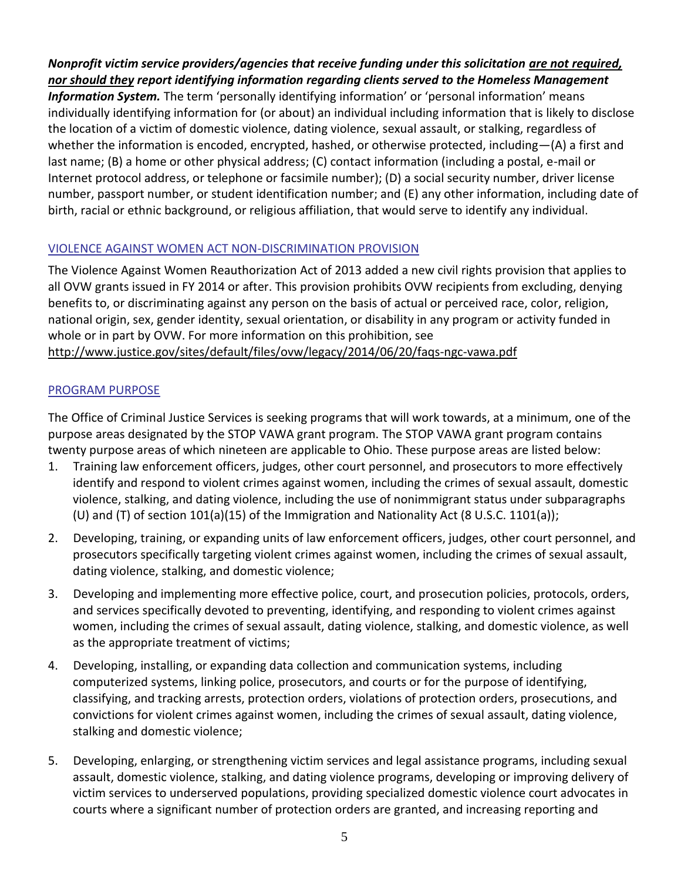### *Nonprofit victim service providers/agencies that receive funding under this solicitation are not required, nor should they report identifying information regarding clients served to the Homeless Management*

*Information System.* The term 'personally identifying information' or 'personal information' means individually identifying information for (or about) an individual including information that is likely to disclose the location of a victim of domestic violence, dating violence, sexual assault, or stalking, regardless of whether the information is encoded, encrypted, hashed, or otherwise protected, including—(A) a first and last name; (B) a home or other physical address; (C) contact information (including a postal, e-mail or Internet protocol address, or telephone or facsimile number); (D) a social security number, driver license number, passport number, or student identification number; and (E) any other information, including date of birth, racial or ethnic background, or religious affiliation, that would serve to identify any individual.

#### VIOLENCE AGAINST WOMEN ACT NON-DISCRIMINATION PROVISION

The Violence Against Women Reauthorization Act of 2013 added a new civil rights provision that applies to all OVW grants issued in FY 2014 or after. This provision prohibits OVW recipients from excluding, denying benefits to, or discriminating against any person on the basis of actual or perceived race, color, religion, national origin, sex, gender identity, sexual orientation, or disability in any program or activity funded in whole or in part by OVW. For more information on this prohibition, see <http://www.justice.gov/sites/default/files/ovw/legacy/2014/06/20/faqs-ngc-vawa.pdf>

### PROGRAM PURPOSE

The Office of Criminal Justice Services is seeking programs that will work towards, at a minimum, one of the purpose areas designated by the STOP VAWA grant program. The STOP VAWA grant program contains twenty purpose areas of which nineteen are applicable to Ohio. These purpose areas are listed below:

- 1. Training law enforcement officers, judges, other court personnel, and prosecutors to more effectively identify and respond to violent crimes against women, including the crimes of sexual assault, domestic violence, stalking, and dating violence, including the use of nonimmigrant status under subparagraphs (U) and (T) of section  $101(a)(15)$  of the Immigration and Nationality Act (8 U.S.C. 1101(a));
- 2. Developing, training, or expanding units of law enforcement officers, judges, other court personnel, and prosecutors specifically targeting violent crimes against women, including the crimes of sexual assault, dating violence, stalking, and domestic violence;
- 3. Developing and implementing more effective police, court, and prosecution policies, protocols, orders, and services specifically devoted to preventing, identifying, and responding to violent crimes against women, including the crimes of sexual assault, dating violence, stalking, and domestic violence, as well as the appropriate treatment of victims;
- 4. Developing, installing, or expanding data collection and communication systems, including computerized systems, linking police, prosecutors, and courts or for the purpose of identifying, classifying, and tracking arrests, protection orders, violations of protection orders, prosecutions, and convictions for violent crimes against women, including the crimes of sexual assault, dating violence, stalking and domestic violence;
- 5. Developing, enlarging, or strengthening victim services and legal assistance programs, including sexual assault, domestic violence, stalking, and dating violence programs, developing or improving delivery of victim services to underserved populations, providing specialized domestic violence court advocates in courts where a significant number of protection orders are granted, and increasing reporting and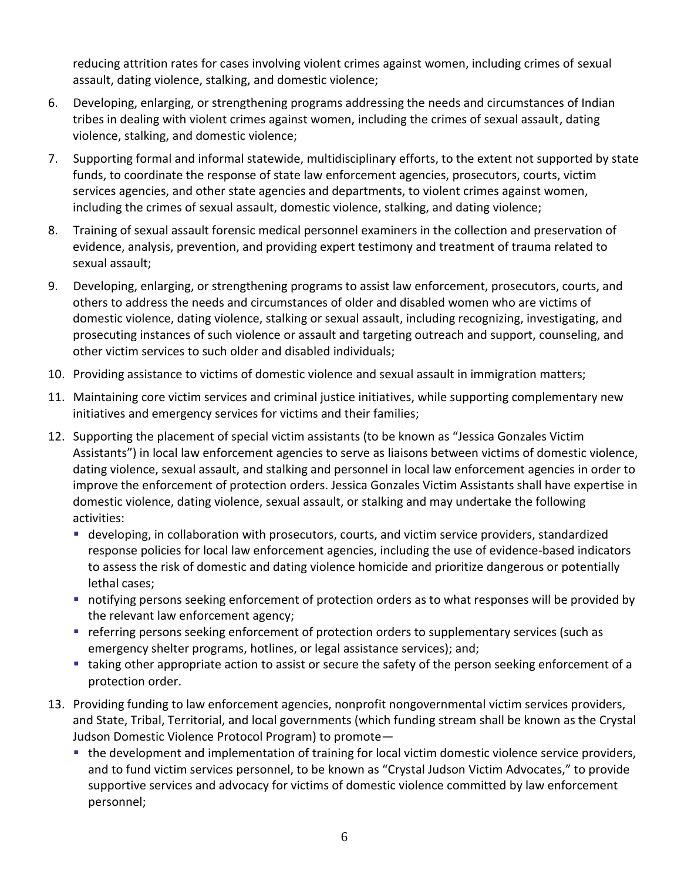reducing attrition rates for cases involving violent crimes against women, including crimes of sexual assault, dating violence, stalking, and domestic violence;

- 6. Developing, enlarging, or strengthening programs addressing the needs and circumstances of Indian tribes in dealing with violent crimes against women, including the crimes of sexual assault, dating violence, stalking, and domestic violence;
- 7. Supporting formal and informal statewide, multidisciplinary efforts, to the extent not supported by state funds, to coordinate the response of state law enforcement agencies, prosecutors, courts, victim services agencies, and other state agencies and departments, to violent crimes against women, including the crimes of sexual assault, domestic violence, stalking, and dating violence;
- 8. Training of sexual assault forensic medical personnel examiners in the collection and preservation of evidence, analysis, prevention, and providing expert testimony and treatment of trauma related to sexual assault;
- 9. Developing, enlarging, or strengthening programs to assist law enforcement, prosecutors, courts, and others to address the needs and circumstances of older and disabled women who are victims of domestic violence, dating violence, stalking or sexual assault, including recognizing, investigating, and prosecuting instances of such violence or assault and targeting outreach and support, counseling, and other victim services to such older and disabled individuals;
- 10. Providing assistance to victims of domestic violence and sexual assault in immigration matters;
- 11. Maintaining core victim services and criminal justice initiatives, while supporting complementary new initiatives and emergency services for victims and their families;
- 12. Supporting the placement of special victim assistants (to be known as "Jessica Gonzales Victim Assistants") in local law enforcement agencies to serve as liaisons between victims of domestic violence, dating violence, sexual assault, and stalking and personnel in local law enforcement agencies in order to improve the enforcement of protection orders. Jessica Gonzales Victim Assistants shall have expertise in domestic violence, dating violence, sexual assault, or stalking and may undertake the following activities:
	- developing, in collaboration with prosecutors, courts, and victim service providers, standardized response policies for local law enforcement agencies, including the use of evidence-based indicators to assess the risk of domestic and dating violence homicide and prioritize dangerous or potentially lethal cases;
	- notifying persons seeking enforcement of protection orders as to what responses will be provided by the relevant law enforcement agency;
	- **•** referring persons seeking enforcement of protection orders to supplementary services (such as emergency shelter programs, hotlines, or legal assistance services); and;
	- taking other appropriate action to assist or secure the safety of the person seeking enforcement of a protection order.
- 13. Providing funding to law enforcement agencies, nonprofit nongovernmental victim services providers, and State, Tribal, Territorial, and local governments (which funding stream shall be known as the Crystal Judson Domestic Violence Protocol Program) to promote
	- **the development and implementation of training for local victim domestic violence service providers,** and to fund victim services personnel, to be known as "Crystal Judson Victim Advocates," to provide supportive services and advocacy for victims of domestic violence committed by law enforcement personnel;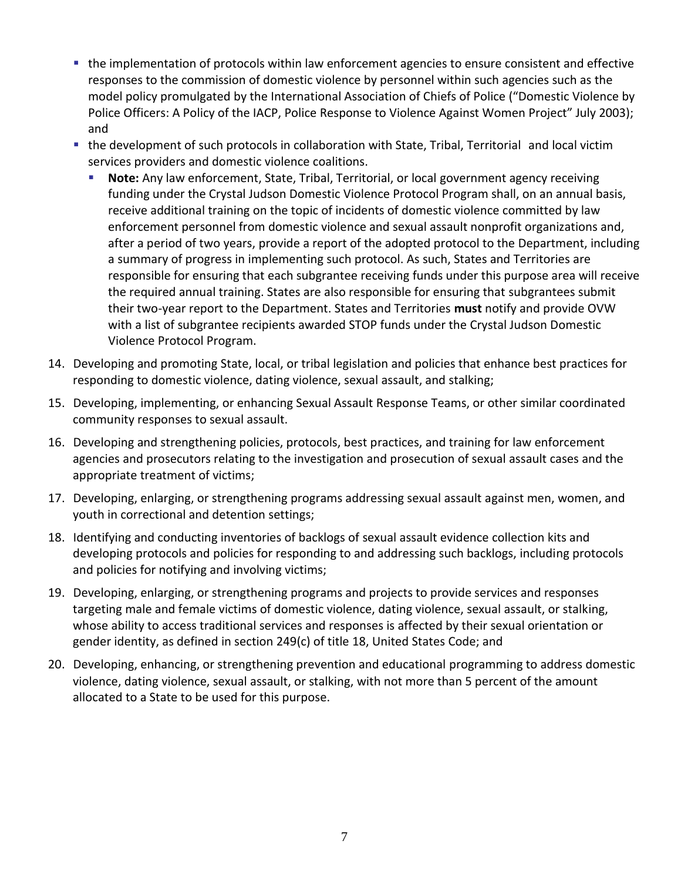- the implementation of protocols within law enforcement agencies to ensure consistent and effective responses to the commission of domestic violence by personnel within such agencies such as the model policy promulgated by the International Association of Chiefs of Police ("Domestic Violence by Police Officers: A Policy of the IACP, Police Response to Violence Against Women Project" July 2003); and
- the development of such protocols in collaboration with State, Tribal, Territorial and local victim services providers and domestic violence coalitions.
	- **Note:** Any law enforcement, State, Tribal, Territorial, or local government agency receiving funding under the Crystal Judson Domestic Violence Protocol Program shall, on an annual basis, receive additional training on the topic of incidents of domestic violence committed by law enforcement personnel from domestic violence and sexual assault nonprofit organizations and, after a period of two years, provide a report of the adopted protocol to the Department, including a summary of progress in implementing such protocol. As such, States and Territories are responsible for ensuring that each subgrantee receiving funds under this purpose area will receive the required annual training. States are also responsible for ensuring that subgrantees submit their two-year report to the Department. States and Territories **must** notify and provide OVW with a list of subgrantee recipients awarded STOP funds under the Crystal Judson Domestic Violence Protocol Program.
- 14. Developing and promoting State, local, or tribal legislation and policies that enhance best practices for responding to domestic violence, dating violence, sexual assault, and stalking;
- 15. Developing, implementing, or enhancing Sexual Assault Response Teams, or other similar coordinated community responses to sexual assault.
- 16. Developing and strengthening policies, protocols, best practices, and training for law enforcement agencies and prosecutors relating to the investigation and prosecution of sexual assault cases and the appropriate treatment of victims;
- 17. Developing, enlarging, or strengthening programs addressing sexual assault against men, women, and youth in correctional and detention settings;
- 18. Identifying and conducting inventories of backlogs of sexual assault evidence collection kits and developing protocols and policies for responding to and addressing such backlogs, including protocols and policies for notifying and involving victims;
- 19. Developing, enlarging, or strengthening programs and projects to provide services and responses targeting male and female victims of domestic violence, dating violence, sexual assault, or stalking, whose ability to access traditional services and responses is affected by their sexual orientation or gender identity, as defined in section 249(c) of title 18, United States Code; and
- 20. Developing, enhancing, or strengthening prevention and educational programming to address domestic violence, dating violence, sexual assault, or stalking, with not more than 5 percent of the amount allocated to a State to be used for this purpose.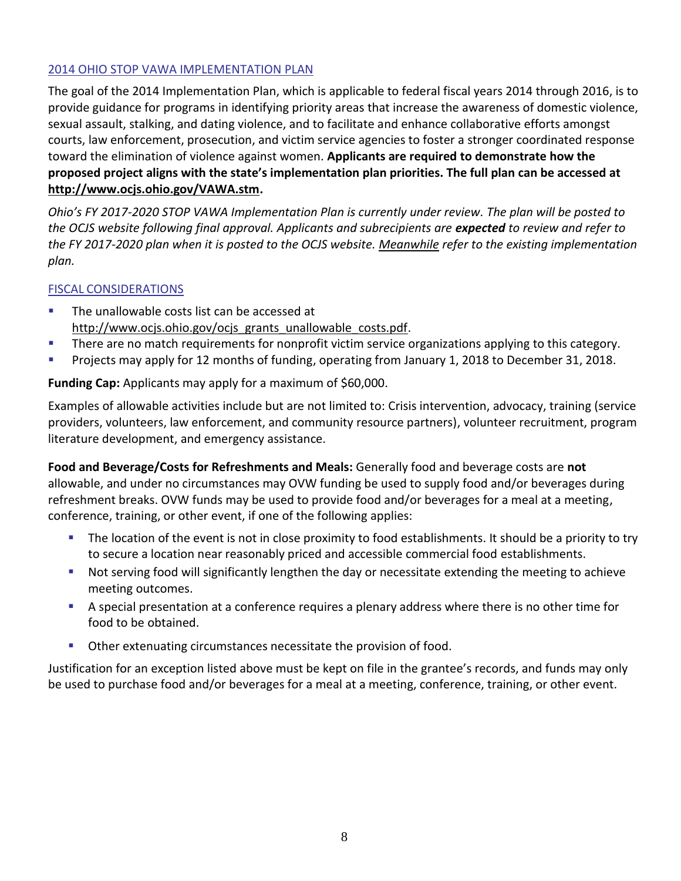#### 2014 OHIO STOP VAWA IMPLEMENTATION PLAN

The goal of the 2014 Implementation Plan, which is applicable to federal fiscal years 2014 through 2016, is to provide guidance for programs in identifying priority areas that increase the awareness of domestic violence, sexual assault, stalking, and dating violence, and to facilitate and enhance collaborative efforts amongst courts, law enforcement, prosecution, and victim service agencies to foster a stronger coordinated response toward the elimination of violence against women. **Applicants are required to demonstrate how the proposed project aligns with the state's implementation plan priorities. The full plan can be accessed at [http://www.ocjs.ohio.gov/VAWA.stm.](http://www.ocjs.ohio.gov/VAWA.stm)**

*Ohio's FY 2017-2020 STOP VAWA Implementation Plan is currently under review. The plan will be posted to the OCJS website following final approval. Applicants and subrecipients are expected to review and refer to the FY 2017-2020 plan when it is posted to the OCJS website. Meanwhile refer to the existing implementation plan.* 

### FISCAL CONSIDERATIONS

- **The unallowable costs list can be accessed at** [http://www.ocjs.ohio.gov/ocjs\\_grants\\_unallowable\\_costs.pdf.](http://www.ocjs.ohio.gov/ocjs_grants_unallowable_costs.pdf)
- There are no match requirements for nonprofit victim service organizations applying to this category.
- **Projects may apply for 12 months of funding, operating from January 1, 2018 to December 31, 2018.**

**Funding Cap:** Applicants may apply for a maximum of \$60,000.

Examples of allowable activities include but are not limited to: Crisis intervention, advocacy, training (service providers, volunteers, law enforcement, and community resource partners), volunteer recruitment, program literature development, and emergency assistance.

**Food and Beverage/Costs for Refreshments and Meals:** Generally food and beverage costs are **not**  allowable, and under no circumstances may OVW funding be used to supply food and/or beverages during refreshment breaks. OVW funds may be used to provide food and/or beverages for a meal at a meeting, conference, training, or other event, if one of the following applies:

- The location of the event is not in close proximity to food establishments. It should be a priority to try to secure a location near reasonably priced and accessible commercial food establishments.
- Not serving food will significantly lengthen the day or necessitate extending the meeting to achieve meeting outcomes.
- A special presentation at a conference requires a plenary address where there is no other time for food to be obtained.
- **Other extenuating circumstances necessitate the provision of food.**

Justification for an exception listed above must be kept on file in the grantee's records, and funds may only be used to purchase food and/or beverages for a meal at a meeting, conference, training, or other event.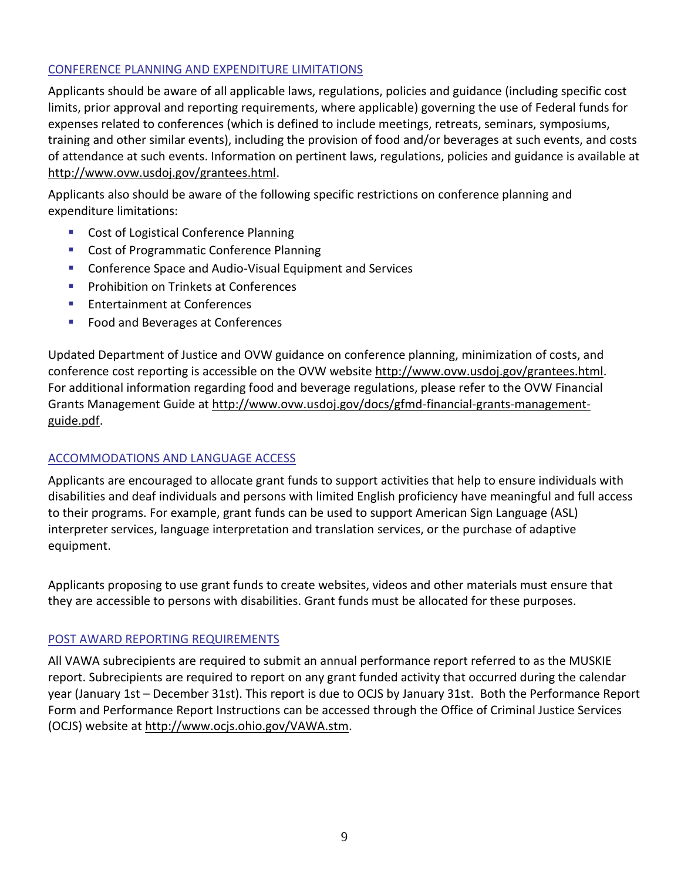#### CONFERENCE PLANNING AND EXPENDITURE LIMITATIONS

Applicants should be aware of all applicable laws, regulations, policies and guidance (including specific cost limits, prior approval and reporting requirements, where applicable) governing the use of Federal funds for expenses related to conferences (which is defined to include meetings, retreats, seminars, symposiums, training and other similar events), including the provision of food and/or beverages at such events, and costs of attendance at such events. Information on pertinent laws, regulations, policies and guidance is available at [http://www.ovw.usdoj.gov/grantees.html.](http://www.ovw.usdoj.gov/grantees.html)

Applicants also should be aware of the following specific restrictions on conference planning and expenditure limitations:

- **Cost of Logistical Conference Planning**
- **Cost of Programmatic Conference Planning**
- **EXP** Conference Space and Audio-Visual Equipment and Services
- **Prohibition on Trinkets at Conferences**
- **Entertainment at Conferences**
- Food and Beverages at Conferences

Updated Department of Justice and OVW guidance on conference planning, minimization of costs, and conference cost reporting is accessible on the OVW website [http://www.ovw.usdoj.gov/grantees.html.](http://www.ovw.usdoj.gov/grantees.html) For additional information regarding food and beverage regulations, please refer to the OVW Financial Grants Management Guide at [http://www.ovw.usdoj.gov/docs/gfmd-financial-grants-management](http://www.ovw.usdoj.gov/docs/gfmd-financial-grants-management-guide.pdf)[guide.pdf.](http://www.ovw.usdoj.gov/docs/gfmd-financial-grants-management-guide.pdf)

#### ACCOMMODATIONS AND LANGUAGE ACCESS

Applicants are encouraged to allocate grant funds to support activities that help to ensure individuals with disabilities and deaf individuals and persons with limited English proficiency have meaningful and full access to their programs. For example, grant funds can be used to support American Sign Language (ASL) interpreter services, language interpretation and translation services, or the purchase of adaptive equipment.

Applicants proposing to use grant funds to create websites, videos and other materials must ensure that they are accessible to persons with disabilities. Grant funds must be allocated for these purposes.

#### POST AWARD REPORTING REQUIREMENTS

All VAWA subrecipients are required to submit an annual performance report referred to as the MUSKIE report. Subrecipients are required to report on any grant funded activity that occurred during the calendar year (January 1st – December 31st). This report is due to OCJS by January 31st. Both the Performance Report Form and Performance Report Instructions can be accessed through the Office of Criminal Justice Services (OCJS) website at [http://www.ocjs.ohio.gov/VAWA.stm.](http://www.ocjs.ohio.gov/VAWA.stm)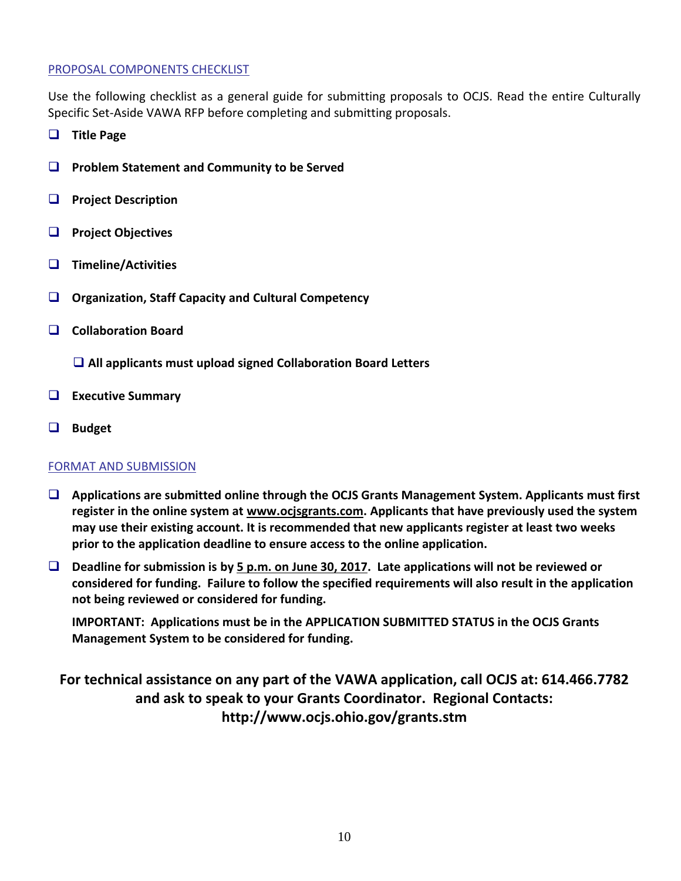#### PROPOSAL COMPONENTS CHECKLIST

Use the following checklist as a general guide for submitting proposals to OCJS. Read the entire Culturally Specific Set-Aside VAWA RFP before completing and submitting proposals.

- **Title Page**
- **Problem Statement and Community to be Served**
- **Project Description**
- **Project Objectives**
- **Timeline/Activities**
- **Organization, Staff Capacity and Cultural Competency**
- **Collaboration Board**
	- **All applicants must upload signed Collaboration Board Letters**
- **Executive Summary**
- **Budget**

#### FORMAT AND SUBMISSION

- **Applications are submitted online through the OCJS Grants Management System. Applicants must first register in the online system at [www.ocjsgrants.com.](http://www.ocjsgrants.com/) Applicants that have previously used the system may use their existing account. It is recommended that new applicants register at least two weeks prior to the application deadline to ensure access to the online application.**
- **Deadline for submission is by 5 p.m. on June 30, 2017. Late applications will not be reviewed or considered for funding. Failure to follow the specified requirements will also result in the application not being reviewed or considered for funding.**

**IMPORTANT: Applications must be in the APPLICATION SUBMITTED STATUS in the OCJS Grants Management System to be considered for funding.**

## **For technical assistance on any part of the VAWA application, call OCJS at: 614.466.7782 and ask to speak to your Grants Coordinator. Regional Contacts: http://www.ocjs.ohio.gov/grants.stm**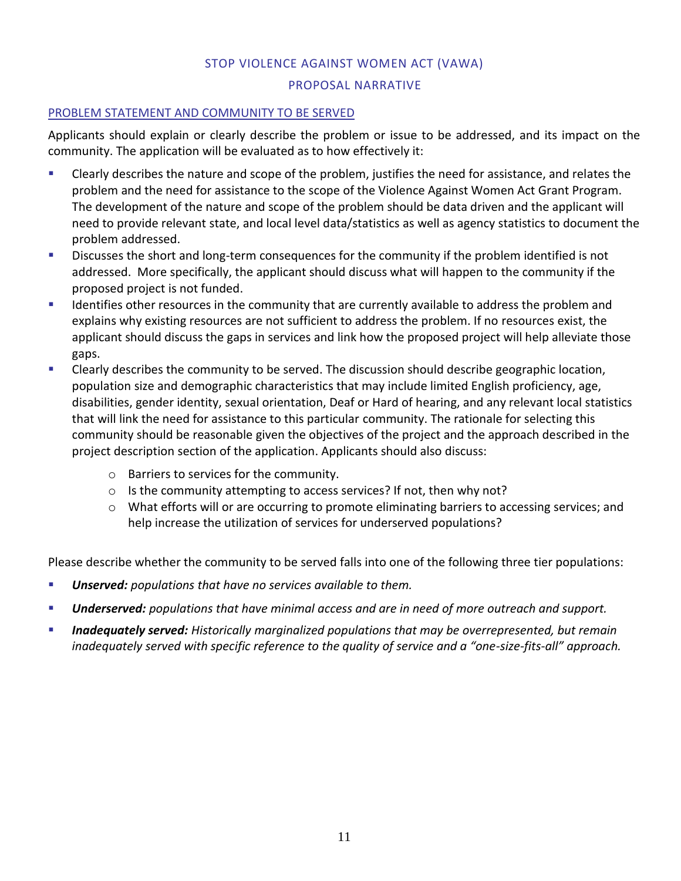## STOP VIOLENCE AGAINST WOMEN ACT (VAWA)

#### PROPOSAL NARRATIVE

#### PROBLEM STATEMENT AND COMMUNITY TO BE SERVED

Applicants should explain or clearly describe the problem or issue to be addressed, and its impact on the community. The application will be evaluated as to how effectively it:

- Clearly describes the nature and scope of the problem, justifies the need for assistance, and relates the problem and the need for assistance to the scope of the Violence Against Women Act Grant Program. The development of the nature and scope of the problem should be data driven and the applicant will need to provide relevant state, and local level data/statistics as well as agency statistics to document the problem addressed.
- **Discusses the short and long-term consequences for the community if the problem identified is not** addressed. More specifically, the applicant should discuss what will happen to the community if the proposed project is not funded.
- If Identifies other resources in the community that are currently available to address the problem and explains why existing resources are not sufficient to address the problem. If no resources exist, the applicant should discuss the gaps in services and link how the proposed project will help alleviate those gaps.
- Clearly describes the community to be served. The discussion should describe geographic location, population size and demographic characteristics that may include limited English proficiency, age, disabilities, gender identity, sexual orientation, Deaf or Hard of hearing, and any relevant local statistics that will link the need for assistance to this particular community. The rationale for selecting this community should be reasonable given the objectives of the project and the approach described in the project description section of the application. Applicants should also discuss:
	- o Barriers to services for the community.
	- o Is the community attempting to access services? If not, then why not?
	- o What efforts will or are occurring to promote eliminating barriers to accessing services; and help increase the utilization of services for underserved populations?

Please describe whether the community to be served falls into one of the following three tier populations:

- *Unserved: populations that have no services available to them.*
- *Underserved: populations that have minimal access and are in need of more outreach and support.*
- *Inadequately served: Historically marginalized populations that may be overrepresented, but remain inadequately served with specific reference to the quality of service and a "one-size-fits-all" approach.*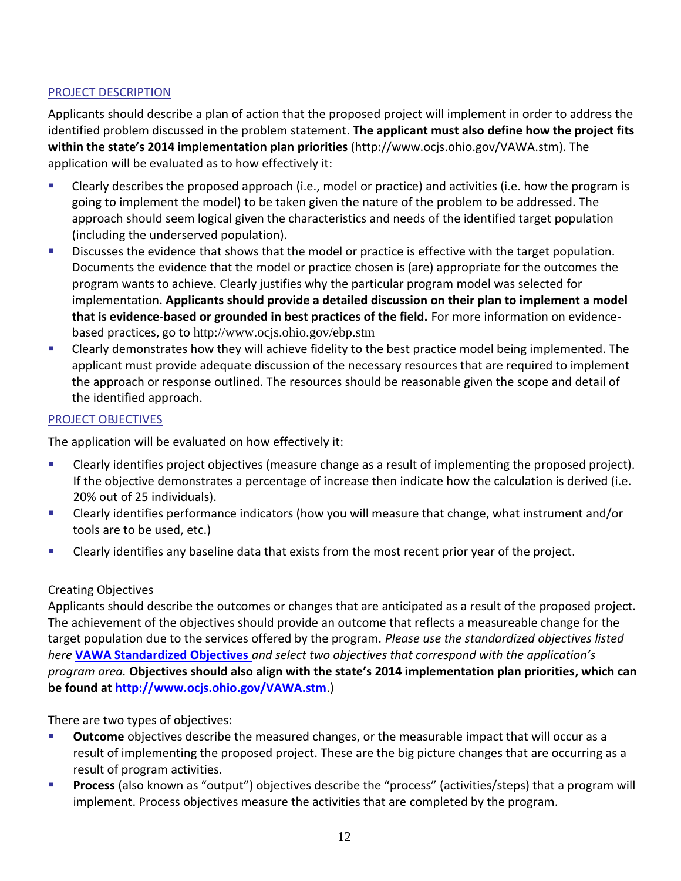#### PROJECT DESCRIPTION

Applicants should describe a plan of action that the proposed project will implement in order to address the identified problem discussed in the problem statement. **The applicant must also define how the project fits within the state's 2014 implementation plan priorities** [\(http://www.ocjs.ohio.gov/VAWA.stm\)](http://www.ocjs.ohio.gov/VAWA.stm). The application will be evaluated as to how effectively it:

- Clearly describes the proposed approach (i.e., model or practice) and activities (i.e. how the program is going to implement the model) to be taken given the nature of the problem to be addressed. The approach should seem logical given the characteristics and needs of the identified target population (including the underserved population).
- **Discusses the evidence that shows that the model or practice is effective with the target population.** Documents the evidence that the model or practice chosen is (are) appropriate for the outcomes the program wants to achieve. Clearly justifies why the particular program model was selected for implementation. **Applicants should provide a detailed discussion on their plan to implement a model that is evidence-based or grounded in best practices of the field.** For more information on evidencebased practices, go to <http://www.ocjs.ohio.gov/ebp.stm>
- Clearly demonstrates how they will achieve fidelity to the best practice model being implemented. The applicant must provide adequate discussion of the necessary resources that are required to implement the approach or response outlined. The resources should be reasonable given the scope and detail of the identified approach.

### PROJECT OBJECTIVES

The application will be evaluated on how effectively it:

- Clearly identifies project objectives (measure change as a result of implementing the proposed project). If the objective demonstrates a percentage of increase then indicate how the calculation is derived (i.e. 20% out of 25 individuals).
- Clearly identifies performance indicators (how you will measure that change, what instrument and/or tools are to be used, etc.)
- Clearly identifies any baseline data that exists from the most recent prior year of the project.

#### Creating Objectives

Applicants should describe the outcomes or changes that are anticipated as a result of the proposed project. The achievement of the objectives should provide an outcome that reflects a measureable change for the target population due to the services offered by the program. *Please use the standardized objectives listed here* **[VAWA Standardized Objectives](http://publicsafety.ohio.gov/links/ocjs-VAWA-2015-Objectives.docx)** *and select two objectives that correspond with the application's program area.* **Objectives should also align with the state's 2014 implementation plan priorities, which can be found at <http://www.ocjs.ohio.gov/VAWA.stm>**.)

There are two types of objectives:

- **Outcome** objectives describe the measured changes, or the measurable impact that will occur as a result of implementing the proposed project. These are the big picture changes that are occurring as a result of program activities.
- **Process** (also known as "output") objectives describe the "process" (activities/steps) that a program will implement. Process objectives measure the activities that are completed by the program.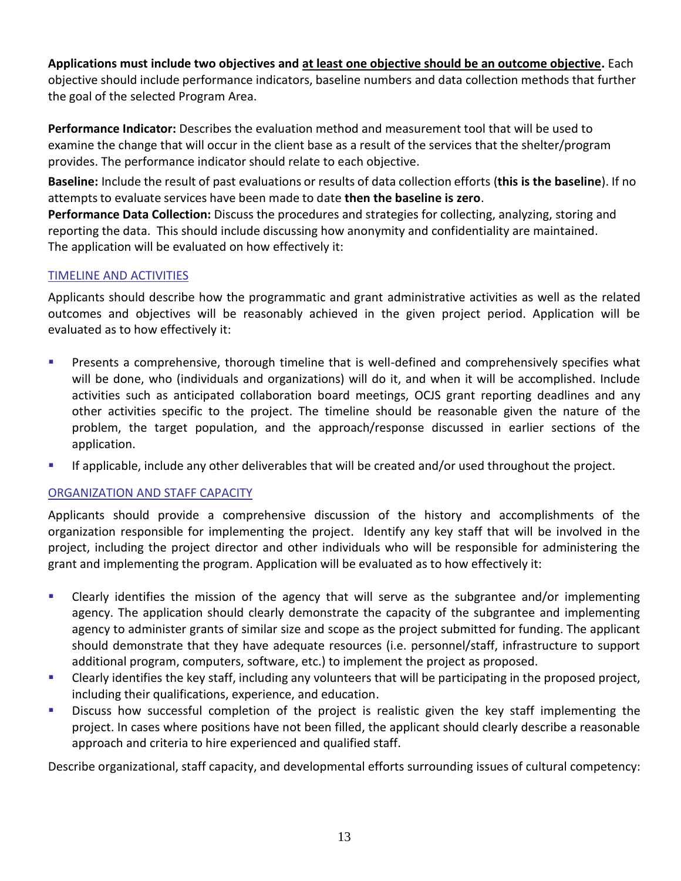**Applications must include two objectives and at least one objective should be an outcome objective.** Each objective should include performance indicators, baseline numbers and data collection methods that further the goal of the selected Program Area.

**Performance Indicator:** Describes the evaluation method and measurement tool that will be used to examine the change that will occur in the client base as a result of the services that the shelter/program provides. The performance indicator should relate to each objective.

**Baseline:** Include the result of past evaluations or results of data collection efforts (**this is the baseline**). If no attemptsto evaluate services have been made to date **then the baseline is zero**.

**Performance Data Collection:** Discuss the procedures and strategies for collecting, analyzing, storing and reporting the data. This should include discussing how anonymity and confidentiality are maintained. The application will be evaluated on how effectively it:

### TIMELINE AND ACTIVITIES

Applicants should describe how the programmatic and grant administrative activities as well as the related outcomes and objectives will be reasonably achieved in the given project period. Application will be evaluated as to how effectively it:

- **Presents a comprehensive, thorough timeline that is well-defined and comprehensively specifies what** will be done, who (individuals and organizations) will do it, and when it will be accomplished. Include activities such as anticipated collaboration board meetings, OCJS grant reporting deadlines and any other activities specific to the project. The timeline should be reasonable given the nature of the problem, the target population, and the approach/response discussed in earlier sections of the application.
- If applicable, include any other deliverables that will be created and/or used throughout the project.

## ORGANIZATION AND STAFF CAPACITY

Applicants should provide a comprehensive discussion of the history and accomplishments of the organization responsible for implementing the project. Identify any key staff that will be involved in the project, including the project director and other individuals who will be responsible for administering the grant and implementing the program. Application will be evaluated as to how effectively it:

- Clearly identifies the mission of the agency that will serve as the subgrantee and/or implementing agency. The application should clearly demonstrate the capacity of the subgrantee and implementing agency to administer grants of similar size and scope as the project submitted for funding. The applicant should demonstrate that they have adequate resources (i.e. personnel/staff, infrastructure to support additional program, computers, software, etc.) to implement the project as proposed.
- Clearly identifies the key staff, including any volunteers that will be participating in the proposed project, including their qualifications, experience, and education.
- **Discuss how successful completion of the project is realistic given the key staff implementing the** project. In cases where positions have not been filled, the applicant should clearly describe a reasonable approach and criteria to hire experienced and qualified staff.

Describe organizational, staff capacity, and developmental efforts surrounding issues of cultural competency: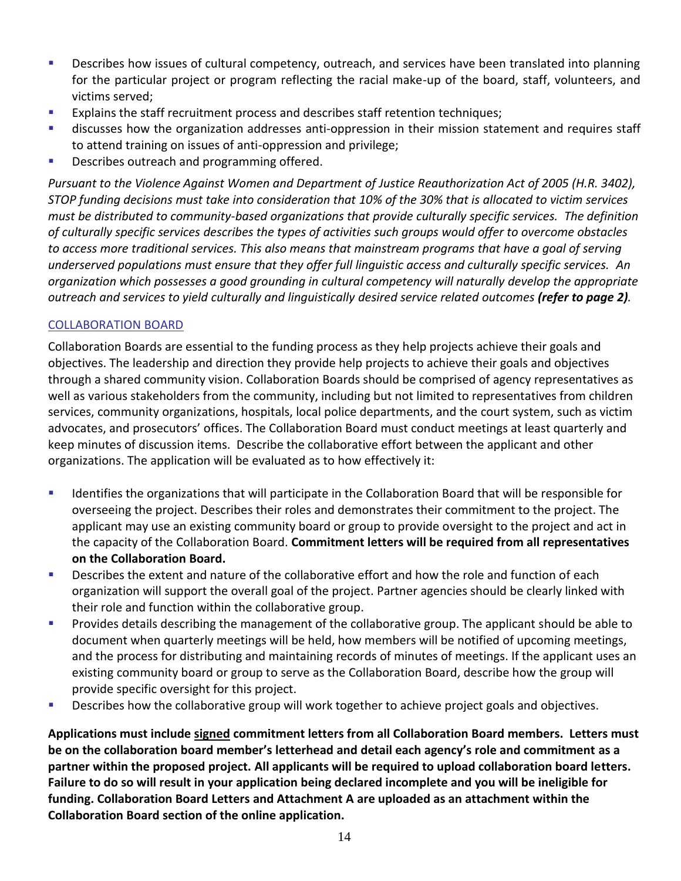- **Describes how issues of cultural competency, outreach, and services have been translated into planning** for the particular project or program reflecting the racial make-up of the board, staff, volunteers, and victims served;
- **EXPLAING THE STATE STATE FIGGS IN A EXPLAINS FIGGS**: Explains the staff retention techniques;
- discusses how the organization addresses anti-oppression in their mission statement and requires staff to attend training on issues of anti-oppression and privilege;
- Describes outreach and programming offered.

*Pursuant to the Violence Against Women and Department of Justice Reauthorization Act of 2005 (H.R. 3402), STOP funding decisions must take into consideration that 10% of the 30% that is allocated to victim services must be distributed to community-based organizations that provide culturally specific services. The definition of culturally specific services describes the types of activities such groups would offer to overcome obstacles to access more traditional services. This also means that mainstream programs that have a goal of serving underserved populations must ensure that they offer full linguistic access and culturally specific services. An organization which possesses a good grounding in cultural competency will naturally develop the appropriate outreach and services to yield culturally and linguistically desired service related outcomes (refer to page 2).*

#### COLLABORATION BOARD

Collaboration Boards are essential to the funding process as they help projects achieve their goals and objectives. The leadership and direction they provide help projects to achieve their goals and objectives through a shared community vision. Collaboration Boards should be comprised of agency representatives as well as various stakeholders from the community, including but not limited to representatives from children services, community organizations, hospitals, local police departments, and the court system, such as victim advocates, and prosecutors' offices. The Collaboration Board must conduct meetings at least quarterly and keep minutes of discussion items. Describe the collaborative effort between the applicant and other organizations. The application will be evaluated as to how effectively it:

- Identifies the organizations that will participate in the Collaboration Board that will be responsible for overseeing the project. Describes their roles and demonstrates their commitment to the project. The applicant may use an existing community board or group to provide oversight to the project and act in the capacity of the Collaboration Board. **Commitment letters will be required from all representatives on the Collaboration Board.**
- **Describes the extent and nature of the collaborative effort and how the role and function of each** organization will support the overall goal of the project. Partner agencies should be clearly linked with their role and function within the collaborative group.
- **Provides details describing the management of the collaborative group. The applicant should be able to** document when quarterly meetings will be held, how members will be notified of upcoming meetings, and the process for distributing and maintaining records of minutes of meetings. If the applicant uses an existing community board or group to serve as the Collaboration Board, describe how the group will provide specific oversight for this project.
- **Describes how the collaborative group will work together to achieve project goals and objectives.**

**Applications must include signed commitment letters from all Collaboration Board members. Letters must be on the collaboration board member's letterhead and detail each agency's role and commitment as a partner within the proposed project. All applicants will be required to upload collaboration board letters. Failure to do so will result in your application being declared incomplete and you will be ineligible for funding. Collaboration Board Letters and Attachment A are uploaded as an attachment within the Collaboration Board section of the online application.**